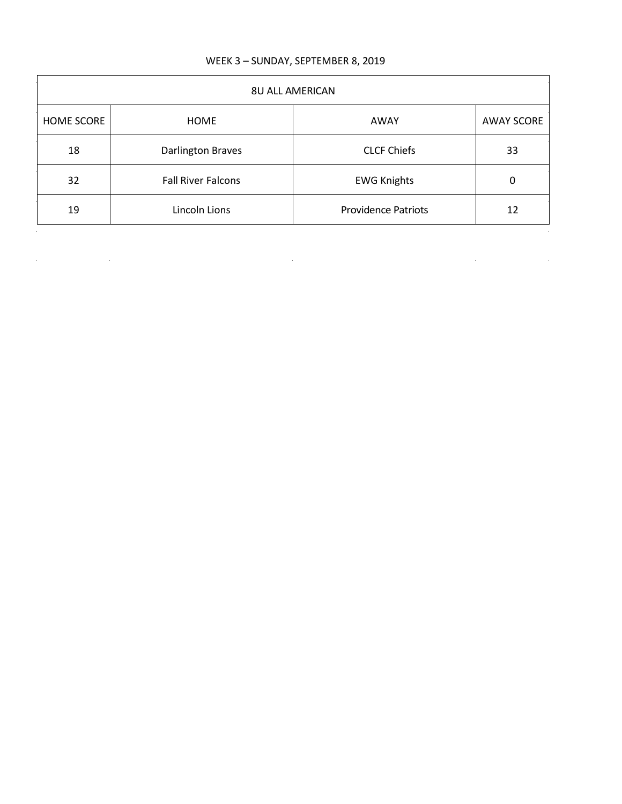## WEEK 3 – SUNDAY, SEPTEMBER 8, 2019

| <b>8U ALL AMERICAN</b> |                           |                            |                   |
|------------------------|---------------------------|----------------------------|-------------------|
| HOME SCORE             | HOME                      | AWAY                       | <b>AWAY SCORE</b> |
| 18                     | Darlington Braves         | <b>CLCF Chiefs</b>         | 33                |
| 32                     | <b>Fall River Falcons</b> | <b>EWG Knights</b>         | 0                 |
| 19                     | Lincoln Lions             | <b>Providence Patriots</b> | 12                |
|                        |                           |                            |                   |

 $\label{eq:2.1} \mathcal{L}(\mathcal{L}^{\text{max}}_{\mathcal{L}}(\mathcal{L}^{\text{max}}_{\mathcal{L}}),\mathcal{L}^{\text{max}}_{\mathcal{L}}(\mathcal{L}^{\text{max}}_{\mathcal{L}}))$ 

 $\mathcal{L}^{\mathcal{L}}(\mathcal{L}^{\mathcal{L}})$  and  $\mathcal{L}^{\mathcal{L}}(\mathcal{L}^{\mathcal{L}})$  and  $\mathcal{L}^{\mathcal{L}}(\mathcal{L}^{\mathcal{L}})$ 

 $\mathbb{R}^2$ 

 $\label{eq:2.1} \frac{1}{\sqrt{2}}\int_{\mathbb{R}^3}\frac{1}{\sqrt{2}}\left(\frac{1}{\sqrt{2}}\right)^2\left(\frac{1}{\sqrt{2}}\right)^2\left(\frac{1}{\sqrt{2}}\right)^2\left(\frac{1}{\sqrt{2}}\right)^2\left(\frac{1}{\sqrt{2}}\right)^2\left(\frac{1}{\sqrt{2}}\right)^2.$ 

 $\bar{\bar{z}}$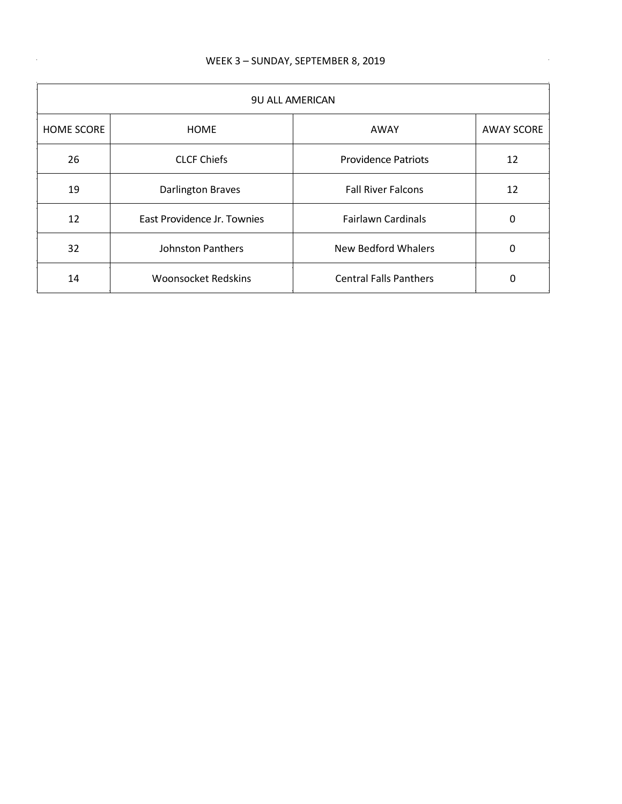$\sim$ 

| <b>9U ALL AMERICAN</b> |                             |                               |                   |
|------------------------|-----------------------------|-------------------------------|-------------------|
| <b>HOME SCORE</b>      | <b>HOME</b>                 | AWAY                          | <b>AWAY SCORE</b> |
| 26                     | <b>CLCF Chiefs</b>          | <b>Providence Patriots</b>    | 12                |
| 19                     | <b>Darlington Braves</b>    | <b>Fall River Falcons</b>     | 12                |
| 12                     | East Providence Jr. Townies | <b>Fairlawn Cardinals</b>     | 0                 |
| 32                     | <b>Johnston Panthers</b>    | New Bedford Whalers           | 0                 |
| 14                     | <b>Woonsocket Redskins</b>  | <b>Central Falls Panthers</b> | 0                 |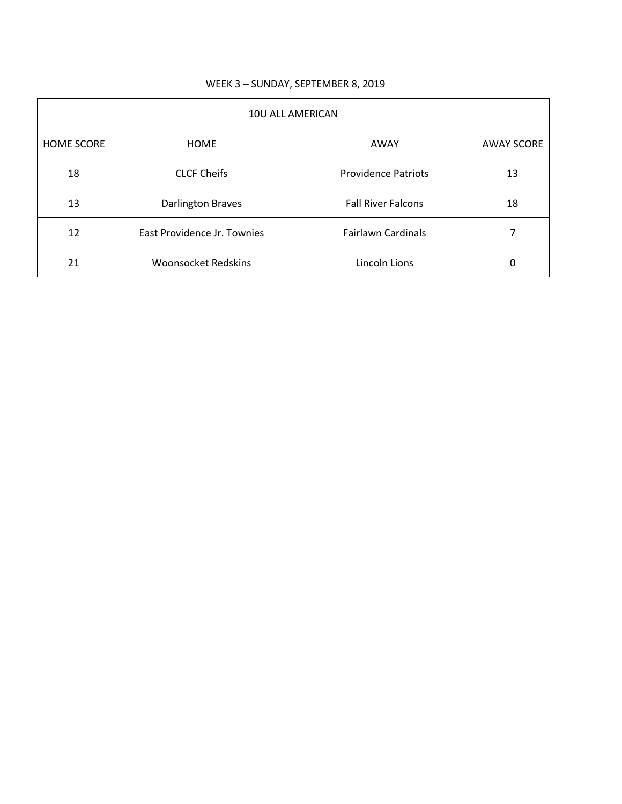| 10U ALL AMERICAN  |                             |                            |                   |
|-------------------|-----------------------------|----------------------------|-------------------|
| <b>HOME SCORE</b> | <b>HOME</b>                 | AWAY                       | <b>AWAY SCORE</b> |
| 18                | <b>CLCF Cheifs</b>          | <b>Providence Patriots</b> | 13                |
| 13                | Darlington Braves           | <b>Fall River Falcons</b>  | 18                |
| 12                | East Providence Jr. Townies | <b>Fairlawn Cardinals</b>  |                   |
| 21                | <b>Woonsocket Redskins</b>  | Lincoln Lions              | 0                 |

## WEEK 3 – SUNDAY, SEPTEMBER 8, 2019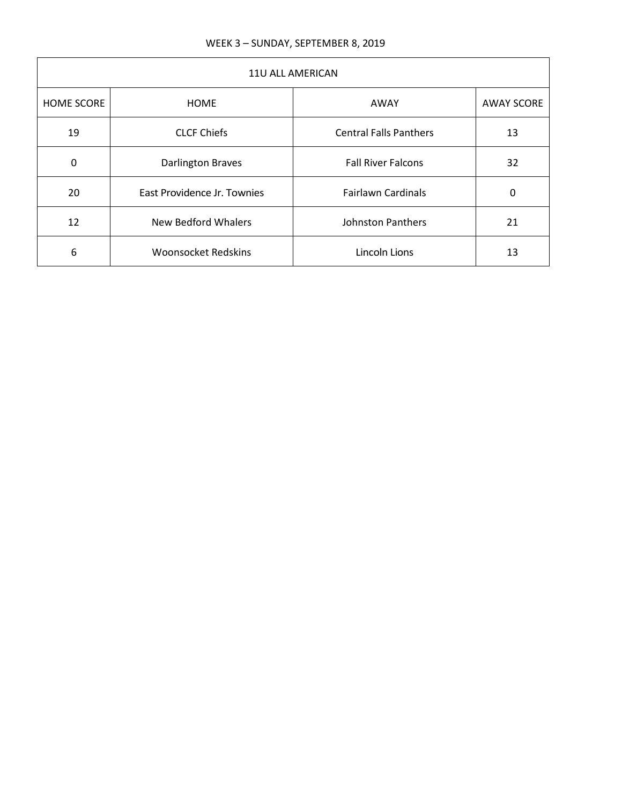| 11U ALL AMERICAN  |                             |                               |                   |
|-------------------|-----------------------------|-------------------------------|-------------------|
| <b>HOME SCORE</b> | <b>HOME</b>                 | AWAY                          | <b>AWAY SCORE</b> |
| 19                | <b>CLCF Chiefs</b>          | <b>Central Falls Panthers</b> | 13                |
| $\Omega$          | <b>Darlington Braves</b>    | <b>Fall River Falcons</b>     | 32                |
| 20                | East Providence Jr. Townies | <b>Fairlawn Cardinals</b>     | 0                 |
| 12                | <b>New Bedford Whalers</b>  | Johnston Panthers             | 21                |
| 6                 | <b>Woonsocket Redskins</b>  | Lincoln Lions                 | 13                |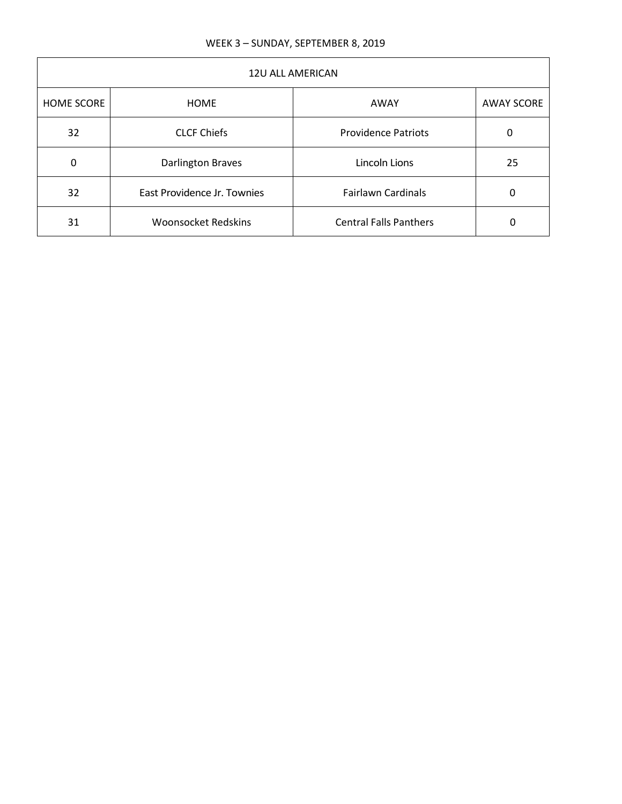| <b>12U ALL AMERICAN</b> |                             |                               |                   |
|-------------------------|-----------------------------|-------------------------------|-------------------|
| <b>HOME SCORE</b>       | <b>HOME</b>                 | AWAY                          | <b>AWAY SCORE</b> |
| 32                      | <b>CLCF Chiefs</b>          | <b>Providence Patriots</b>    | 0                 |
| 0                       | <b>Darlington Braves</b>    | Lincoln Lions                 | 25                |
| 32                      | East Providence Jr. Townies | <b>Fairlawn Cardinals</b>     | 0                 |
| 31                      | <b>Woonsocket Redskins</b>  | <b>Central Falls Panthers</b> | 0                 |